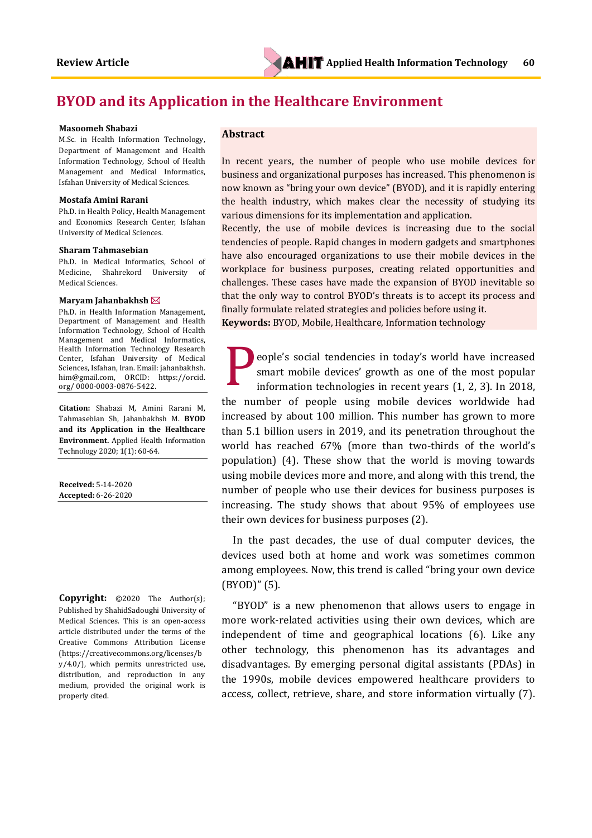# **BYOD and its Application in the Healthcare Environment**

#### **Masoomeh Shabazi**

M.Sc. in Health Information Technology, Department of Management and Health Information Technology, School of Health Management and Medical Informatics, Isfahan University of Medical Sciences.

#### **Mostafa Amini Rarani**

Ph.D. in Health Policy, Health Management and Economics Research Center, Isfahan University of Medical Sciences.

#### **Sharam Tahmasebian**

Ph.D. in Medical Informatics, School of Medicine, Shahrekord University of Medical Sciences.

#### **Maryam Jahanbakhsh**

Ph.D. in Health Information Management, Department of Management and Health Information Technology, School of Health Management and Medical Informatics, Health Information Technology Research Center, Isfahan University of Medical Sciences, Isfahan, Iran. Email: jahanbakhsh. him@gmail.com, ORCID: https://orcid. org/ 0000-0003-0876-5422.

**Citation:** Shabazi M, Amini Rarani M, Tahmasebian Sh, Jahanbakhsh M. **BYOD and its Application in the Healthcare Environment.** Applied Health Information Technology 2020; 1(1): 60-64.

**Received:** 5-14-2020 **Accepted:** 6-26-2020

**Copyright:** ©2020 The Author(s); Published by ShahidSadoughi University of Medical Sciences. This is an open-access article distributed under the terms of the Creative Commons Attribution License (https://creativecommons.org/licenses/b y/4.0/), which permits unrestricted use, distribution, and reproduction in any medium, provided the original work is properly cited.

## **Abstract**

In recent years, the number of people who use mobile devices for business and organizational purposes has increased. This phenomenon is now known as "bring your own device" (BYOD), and it is rapidly entering the health industry, which makes clear the necessity of studying its various dimensions for its implementation and application.

Recently, the use of mobile devices is increasing due to the social tendencies of people. Rapid changes in modern gadgets and smartphones have also encouraged organizations to use their mobile devices in the workplace for business purposes, creating related opportunities and challenges. These cases have made the expansion of BYOD inevitable so that the only way to control BYOD's threats is to accept its process and finally formulate related strategies and policies before using it.

**Keywords:** BYOD, Mobile, Healthcare, Information technology

eople's social tendencies in today's world have increased smart mobile devices' growth as one of the most popular information technologies in recent years (1, 2, 3). In 2018, the number of people using mobile devices worldwide had increased by about 100 million. This number has grown to more than 5.1 billion users in 2019, and its penetration throughout the world has reached 67% (more than two-thirds of the world's population) (4). These show that the world is moving towards using mobile devices more and more, and along with this trend, the number of people who use their devices for business purposes is increasing. The study shows that about 95% of employees use their own devices for business purposes (2). P

In the past decades, the use of dual computer devices, the devices used both at home and work was sometimes common among employees. Now, this trend is called "bring your own device (BYOD)" (5).

"BYOD" is a new phenomenon that allows users to engage in more work-related activities using their own devices, which are independent of time and geographical locations (6). Like any other technology, this phenomenon has its advantages and disadvantages. By emerging personal digital assistants (PDAs) in the 1990s, mobile devices empowered healthcare providers to access, collect, retrieve, share, and store information virtually (7).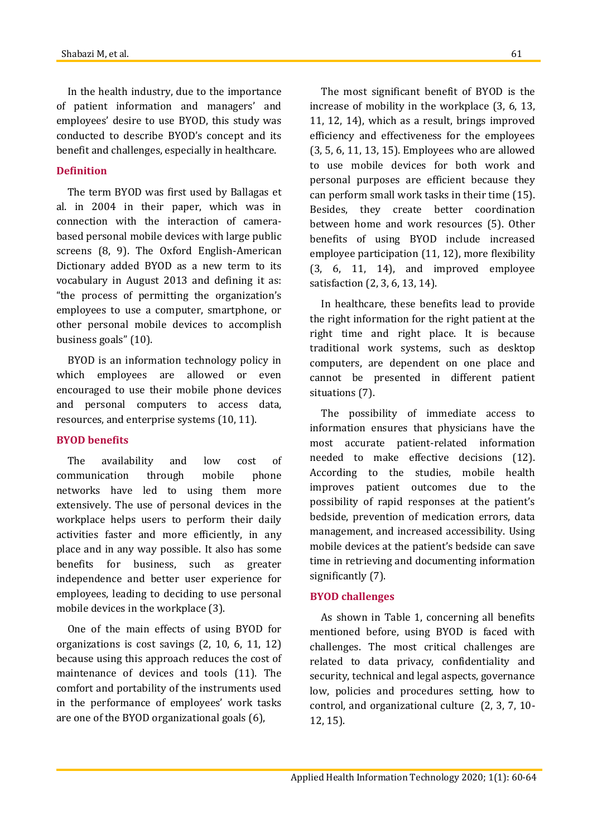In the health industry, due to the importance of patient information and managers' and employees' desire to use BYOD, this study was conducted to describe BYOD's concept and its benefit and challenges, especially in healthcare.

# **Definition**

The term BYOD was first used by Ballagas et al. in 2004 in their paper, which was in connection with the interaction of camerabased personal mobile devices with large public screens (8, 9). The Oxford English-American Dictionary added BYOD as a new term to its vocabulary in August 2013 and defining it as: "the process of permitting the organization's employees to use a computer, smartphone, or other personal mobile devices to accomplish business goals" (10).

BYOD is an information technology policy in which employees are allowed or even encouraged to use their mobile phone devices and personal computers to access data, resources, and enterprise systems (10, 11).

## **BYOD benefits**

The availability and low cost of communication through mobile phone networks have led to using them more extensively. The use of personal devices in the workplace helps users to perform their daily activities faster and more efficiently, in any place and in any way possible. It also has some benefits for business, such as greater independence and better user experience for employees, leading to deciding to use personal mobile devices in the workplace (3).

One of the main effects of using BYOD for organizations is cost savings (2, 10, 6, 11, 12) because using this approach reduces the cost of maintenance of devices and tools (11). The comfort and portability of the instruments used in the performance of employees' work tasks are one of the BYOD organizational goals (6),

The most significant benefit of BYOD is the increase of mobility in the workplace (3, 6, 13, 11, 12, 14), which as a result, brings improved efficiency and effectiveness for the employees (3, 5, 6, 11, 13, 15). Employees who are allowed to use mobile devices for both work and personal purposes are efficient because they can perform small work tasks in their time (15). Besides, they create better coordination between home and work resources (5). Other benefits of using BYOD include increased employee participation (11, 12), more flexibility (3, 6, 11, 14), and improved employee satisfaction (2, 3, 6, 13, 14).

In healthcare, these benefits lead to provide the right information for the right patient at the right time and right place. It is because traditional work systems, such as desktop computers, are dependent on one place and cannot be presented in different patient situations (7).

The possibility of immediate access to information ensures that physicians have the most accurate patient-related information needed to make effective decisions (12). According to the studies, mobile health improves patient outcomes due to the possibility of rapid responses at the patient's bedside, prevention of medication errors, data management, and increased accessibility. Using mobile devices at the patient's bedside can save time in retrieving and documenting information significantly (7).

### **BYOD challenges**

As shown in Table 1, concerning all benefits mentioned before, using BYOD is faced with challenges. The most critical challenges are related to data privacy, confidentiality and security, technical and legal aspects, governance low, policies and procedures setting, how to control, and organizational culture (2, 3, 7, 10- 12, 15).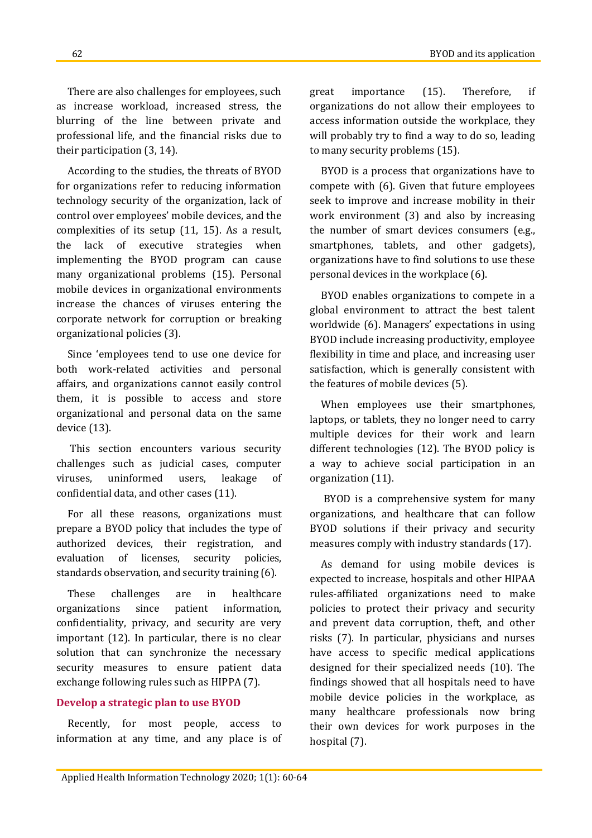There are also challenges for employees, such as increase workload, increased stress, the blurring of the line between private and professional life, and the financial risks due to their participation (3, 14).

According to the studies, the threats of BYOD for organizations refer to reducing information technology security of the organization, lack of control over employees' mobile devices, and the complexities of its setup (11, 15). As a result, the lack of executive strategies when implementing the BYOD program can cause many organizational problems (15). Personal mobile devices in organizational environments increase the chances of viruses entering the corporate network for corruption or breaking organizational policies (3).

Since 'employees tend to use one device for both work-related activities and personal affairs, and organizations cannot easily control them, it is possible to access and store organizational and personal data on the same device (13).

This section encounters various security challenges such as judicial cases, computer viruses, uninformed users, leakage of confidential data, and other cases (11).

For all these reasons, organizations must prepare a BYOD policy that includes the type of authorized devices, their registration, and evaluation of licenses, security policies, standards observation, and security training (6).

These challenges are in healthcare organizations since patient information, confidentiality, privacy, and security are very important (12). In particular, there is no clear solution that can synchronize the necessary security measures to ensure patient data exchange following rules such as HIPPA (7).

# **Develop a strategic plan to use BYOD**

Recently, for most people, access to information at any time, and any place is of great importance (15). Therefore, if organizations do not allow their employees to access information outside the workplace, they will probably try to find a way to do so, leading to many security problems (15).

BYOD is a process that organizations have to compete with (6). Given that future employees seek to improve and increase mobility in their work environment (3) and also by increasing the number of smart devices consumers (e.g., smartphones, tablets, and other gadgets), organizations have to find solutions to use these personal devices in the workplace (6).

BYOD enables organizations to compete in a global environment to attract the best talent worldwide (6). Managers' expectations in using BYOD include increasing productivity, employee flexibility in time and place, and increasing user satisfaction, which is generally consistent with the features of mobile devices (5).

When employees use their smartphones, laptops, or tablets, they no longer need to carry multiple devices for their work and learn different technologies (12). The BYOD policy is a way to achieve social participation in an organization (11).

BYOD is a comprehensive system for many organizations, and healthcare that can follow BYOD solutions if their privacy and security measures comply with industry standards (17).

As demand for using mobile devices is expected to increase, hospitals and other HIPAA rules-affiliated organizations need to make policies to protect their privacy and security and prevent data corruption, theft, and other risks (7). In particular, physicians and nurses have access to specific medical applications designed for their specialized needs (10). The findings showed that all hospitals need to have mobile device policies in the workplace, as many healthcare professionals now bring their own devices for work purposes in the hospital (7).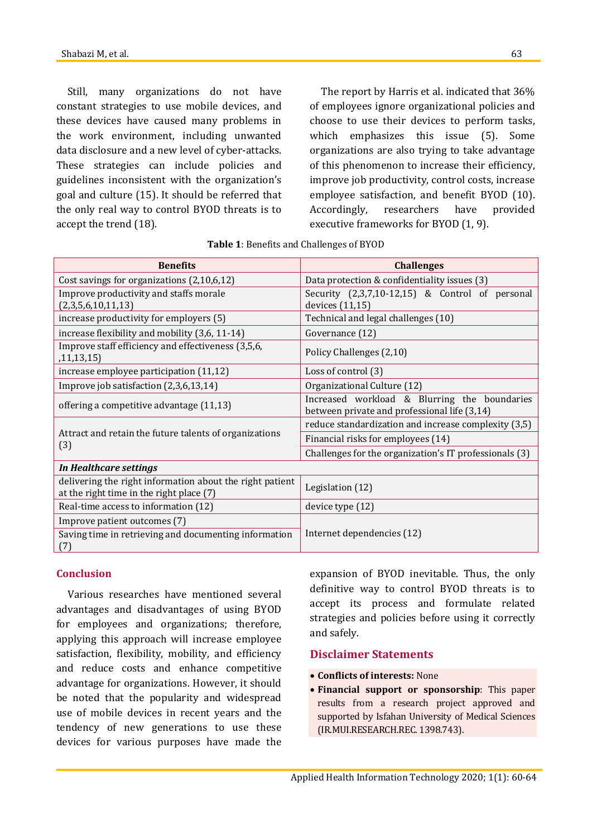Still, many organizations do not have constant strategies to use mobile devices, and these devices have caused many problems in the work environment, including unwanted data disclosure and a new level of cyber-attacks. These strategies can include policies and guidelines inconsistent with the organization's goal and culture (15). It should be referred that the only real way to control BYOD threats is to accept the trend (18).

The report by Harris et al. indicated that 36% of employees ignore organizational policies and choose to use their devices to perform tasks, which emphasizes this issue (5). Some organizations are also trying to take advantage of this phenomenon to increase their efficiency, improve job productivity, control costs, increase employee satisfaction, and benefit BYOD (10). Accordingly, researchers have provided executive frameworks for BYOD (1, 9).

| <b>Challenges</b>                                                            |
|------------------------------------------------------------------------------|
| Data protection & confidentiality issues (3)                                 |
| Security $(2,3,7,10-12,15)$ & Control of personal                            |
| devices (11,15)                                                              |
| Technical and legal challenges (10)                                          |
| Governance (12)                                                              |
| Policy Challenges (2,10)                                                     |
| Loss of control (3)                                                          |
| Organizational Culture (12)                                                  |
| Increased workload & Blurring the boundaries                                 |
| between private and professional life (3,14)                                 |
| reduce standardization and increase complexity (3,5)                         |
| Financial risks for employees (14)                                           |
| Challenges for the organization's IT professionals (3)                       |
|                                                                              |
| delivering the right information about the right patient<br>Legislation (12) |
| device type (12)                                                             |
|                                                                              |
| Internet dependencies (12)                                                   |
|                                                                              |

| Table 1: Benefits and Challenges of BYOD |
|------------------------------------------|
|------------------------------------------|

# **Conclusion**

Various researches have mentioned several advantages and disadvantages of using BYOD for employees and organizations; therefore, applying this approach will increase employee satisfaction, flexibility, mobility, and efficiency and reduce costs and enhance competitive advantage for organizations. However, it should be noted that the popularity and widespread use of mobile devices in recent years and the tendency of new generations to use these devices for various purposes have made the expansion of BYOD inevitable. Thus, the only definitive way to control BYOD threats is to accept its process and formulate related strategies and policies before using it correctly and safely.

# **Disclaimer Statements**

- **Conflicts of interests:** None
- **Financial support or sponsorship**: This paper results from a research project approved and supported by Isfahan University of Medical Sciences (IR.MUI.RESEARCH.REC. 1398.743).